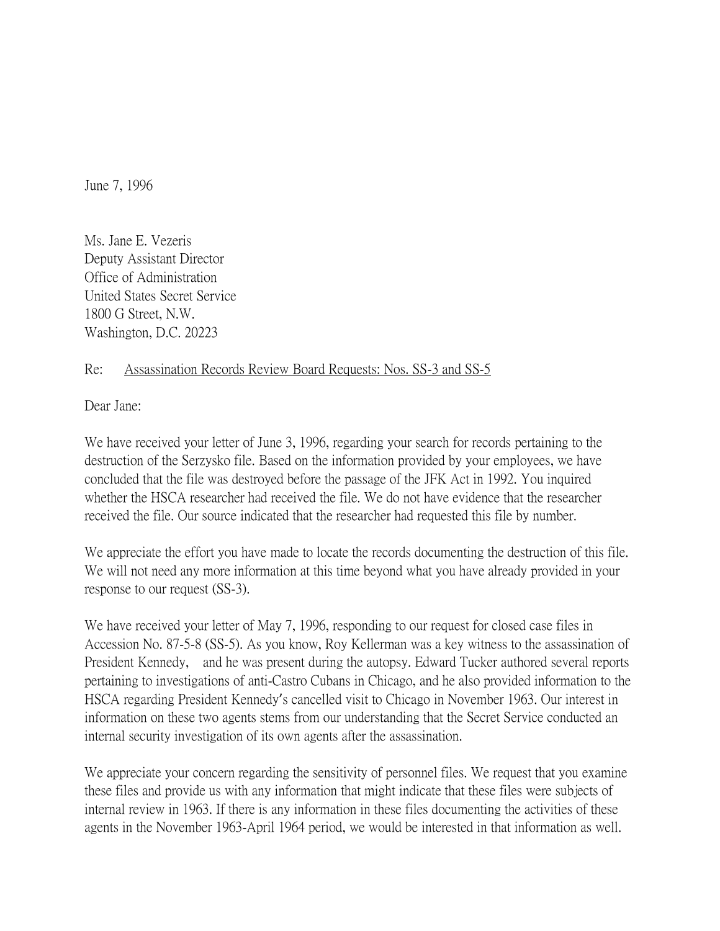June 7, 1996

Ms. Jane E. Vezeris Deputy Assistant Director Office of Administration United States Secret Service 1800 G Street, N.W. Washington, D.C. 20223

## Re: Assassination Records Review Board Requests: Nos. SS-3 and SS-5

Dear Jane:

We have received your letter of June 3, 1996, regarding your search for records pertaining to the destruction of the Serzysko file. Based on the information provided by your employees, we have concluded that the file was destroyed before the passage of the JFK Act in 1992. You inquired whether the HSCA researcher had received the file. We do not have evidence that the researcher received the file. Our source indicated that the researcher had requested this file by number.

We appreciate the effort you have made to locate the records documenting the destruction of this file. We will not need any more information at this time beyond what you have already provided in your response to our request (SS-3).

We have received your letter of May 7, 1996, responding to our request for closed case files in Accession No. 87-5-8 (SS-5). As you know, Roy Kellerman was a key witness to the assassination of President Kennedy, and he was present during the autopsy. Edward Tucker authored several reports pertaining to investigations of anti-Castro Cubans in Chicago, and he also provided information to the HSCA regarding President Kennedy's cancelled visit to Chicago in November 1963. Our interest in information on these two agents stems from our understanding that the Secret Service conducted an internal security investigation of its own agents after the assassination.

We appreciate your concern regarding the sensitivity of personnel files. We request that you examine these files and provide us with any information that might indicate that these files were subjects of internal review in 1963. If there is any information in these files documenting the activities of these agents in the November 1963-April 1964 period, we would be interested in that information as well.